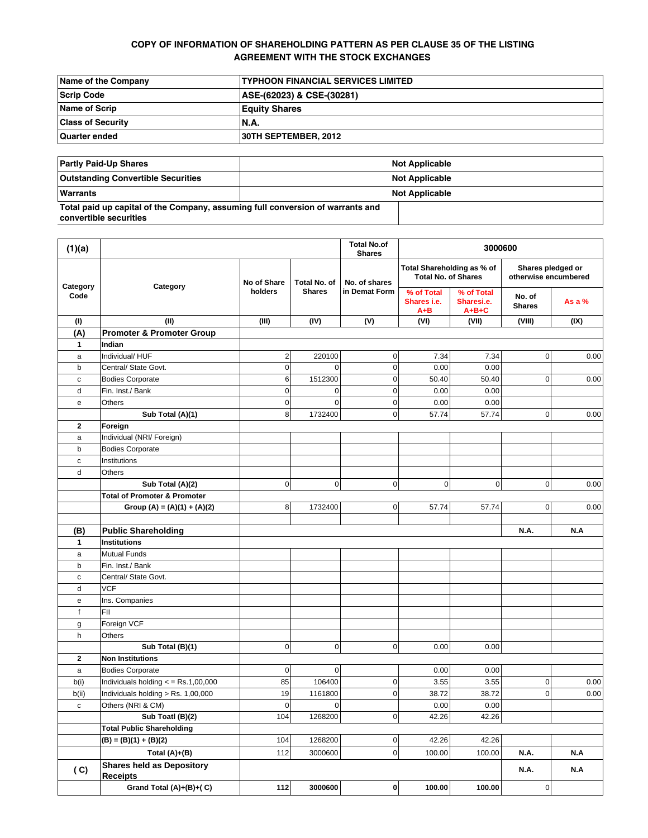# **COPY OF INFORMATION OF SHAREHOLDING PATTERN AS PER CLAUSE 35 OF THE LISTING AGREEMENT WITH THE STOCK EXCHANGES**

| Name of the Company      | <b>TYPHOON FINANCIAL SERVICES LIMITED</b> |
|--------------------------|-------------------------------------------|
| Scrip Code               | ASE-(62023) & CSE-(30281)                 |
| Name of Scrip            | <b>Equity Shares</b>                      |
| <b>Class of Security</b> | <b>N.A.</b>                               |
| <b>Quarter ended</b>     | 30TH SEPTEMBER, 2012                      |

| <b>Partly Paid-Up Shares</b>                                                                             | <b>Not Applicable</b> |  |  |  |
|----------------------------------------------------------------------------------------------------------|-----------------------|--|--|--|
| <b>Outstanding Convertible Securities</b>                                                                | <b>Not Applicable</b> |  |  |  |
| Warrants                                                                                                 | <b>Not Applicable</b> |  |  |  |
| Total paid up capital of the Company, assuming full conversion of warrants and<br>convertible securities |                       |  |  |  |

| (1)(a)           |                                                     |                |               | <b>Total No.of</b><br><b>Shares</b> |                                                          | 3000600                                 |                                           |          |
|------------------|-----------------------------------------------------|----------------|---------------|-------------------------------------|----------------------------------------------------------|-----------------------------------------|-------------------------------------------|----------|
| Category<br>Code | Category<br>holders                                 | No of Share    | Total No. of  | No. of shares<br>in Demat Form      | Total Shareholding as % of<br><b>Total No. of Shares</b> |                                         | Shares pledged or<br>otherwise encumbered |          |
|                  |                                                     |                | <b>Shares</b> |                                     | % of Total<br>Shares i.e.<br>$A + B$                     | % of Total<br>Sharesi.e.<br>$A + B + C$ | No. of<br><b>Shares</b>                   | As a $%$ |
| (1)              | (II)                                                | (III)          | (IV)          | (V)                                 | (VI)                                                     | (VII)                                   | (VIII)                                    | (IX)     |
| (A)              | <b>Promoter &amp; Promoter Group</b>                |                |               |                                     |                                                          |                                         |                                           |          |
| $\mathbf{1}$     | Indian                                              |                |               |                                     |                                                          |                                         |                                           |          |
| a                | Individual/HUF                                      | $\overline{2}$ | 220100        | $\pmb{0}$                           | 7.34                                                     | 7.34                                    | 0                                         | 0.00     |
| b                | Central/ State Govt.                                | $\mathbf 0$    | $\mathbf 0$   | $\pmb{0}$                           | 0.00                                                     | 0.00                                    |                                           |          |
| c                | <b>Bodies Corporate</b>                             | $6 \,$         | 1512300       | 0                                   | 50.40                                                    | 50.40                                   | 0                                         | 0.00     |
| d                | Fin. Inst./ Bank                                    | $\overline{0}$ | $\mathbf 0$   | $\mathbf 0$                         | 0.00                                                     | 0.00                                    |                                           |          |
| e                | Others                                              | $\overline{0}$ | $\mathbf 0$   | $\pmb{0}$                           | 0.00                                                     | 0.00                                    |                                           |          |
|                  | Sub Total (A)(1)                                    | 8              | 1732400       | $\pmb{0}$                           | 57.74                                                    | 57.74                                   | 0                                         | 0.00     |
| 2                | Foreign                                             |                |               |                                     |                                                          |                                         |                                           |          |
| a                | Individual (NRI/ Foreign)                           |                |               |                                     |                                                          |                                         |                                           |          |
| b                | <b>Bodies Corporate</b>                             |                |               |                                     |                                                          |                                         |                                           |          |
| c                | Institutions                                        |                |               |                                     |                                                          |                                         |                                           |          |
| d                | Others                                              |                |               |                                     |                                                          |                                         |                                           |          |
|                  | Sub Total (A)(2)                                    | $\overline{0}$ | $\mathbf 0$   | $\mathbf 0$                         | $\mathbf 0$                                              | $\mathbf 0$                             | 0                                         | 0.00     |
|                  | <b>Total of Promoter &amp; Promoter</b>             |                |               |                                     |                                                          |                                         |                                           |          |
|                  | Group (A) = $(A)(1) + (A)(2)$                       | 8              | 1732400       | $\pmb{0}$                           | 57.74                                                    | 57.74                                   | $\overline{0}$                            | 0.00     |
| (B)              | <b>Public Shareholding</b>                          |                |               |                                     |                                                          |                                         | N.A.                                      | N.A      |
| $\mathbf{1}$     | <b>Institutions</b>                                 |                |               |                                     |                                                          |                                         |                                           |          |
| a                | <b>Mutual Funds</b>                                 |                |               |                                     |                                                          |                                         |                                           |          |
| b                | Fin. Inst./ Bank                                    |                |               |                                     |                                                          |                                         |                                           |          |
| $\mathbf c$      | Central/ State Govt.                                |                |               |                                     |                                                          |                                         |                                           |          |
| d                | <b>VCF</b>                                          |                |               |                                     |                                                          |                                         |                                           |          |
| е                | Ins. Companies                                      |                |               |                                     |                                                          |                                         |                                           |          |
| f                | FII                                                 |                |               |                                     |                                                          |                                         |                                           |          |
| g                | Foreign VCF                                         |                |               |                                     |                                                          |                                         |                                           |          |
| h                | Others                                              |                |               |                                     |                                                          |                                         |                                           |          |
|                  | Sub Total (B)(1)                                    | $\overline{0}$ | $\mathbf 0$   | $\pmb{0}$                           | 0.00                                                     | 0.00                                    |                                           |          |
| $\mathbf 2$      | <b>Non Institutions</b>                             |                |               |                                     |                                                          |                                         |                                           |          |
| a                | <b>Bodies Corporate</b>                             | $\overline{0}$ | $\mathbf 0$   |                                     | 0.00                                                     | 0.00                                    |                                           |          |
| b(i)             | Individuals holding $\epsilon$ = Rs.1,00,000        | 85             | 106400        | $\pmb{0}$                           | 3.55                                                     | 3.55                                    | 0                                         | 0.00     |
| b(ii)            | Individuals holding > Rs. 1,00,000                  | 19             | 1161800       | 0                                   | 38.72                                                    | 38.72                                   | $\overline{0}$                            | 0.00     |
| c                | Others (NRI & CM)                                   | $\mathbf 0$    | $\mathbf 0$   |                                     | 0.00                                                     | 0.00                                    |                                           |          |
|                  | Sub Toatl (B)(2)                                    | 104            | 1268200       | $\overline{0}$                      | 42.26                                                    | 42.26                                   |                                           |          |
|                  | <b>Total Public Shareholding</b>                    |                |               |                                     |                                                          |                                         |                                           |          |
|                  | $(B) = (B)(1) + (B)(2)$                             | 104            | 1268200       | $\pmb{0}$                           | 42.26                                                    | 42.26                                   |                                           |          |
|                  | Total $(A)+(B)$                                     | 112            | 3000600       | $\mathbf 0$                         | 100.00                                                   | 100.00                                  | <b>N.A.</b>                               | N.A      |
| (C)              | <b>Shares held as Depository</b><br><b>Receipts</b> |                |               |                                     |                                                          |                                         | N.A.                                      | N.A      |
|                  | Grand Total (A)+(B)+(C)                             | 112            | 3000600       | $\pmb{0}$                           | 100.00                                                   | 100.00                                  | $\pmb{0}$                                 |          |